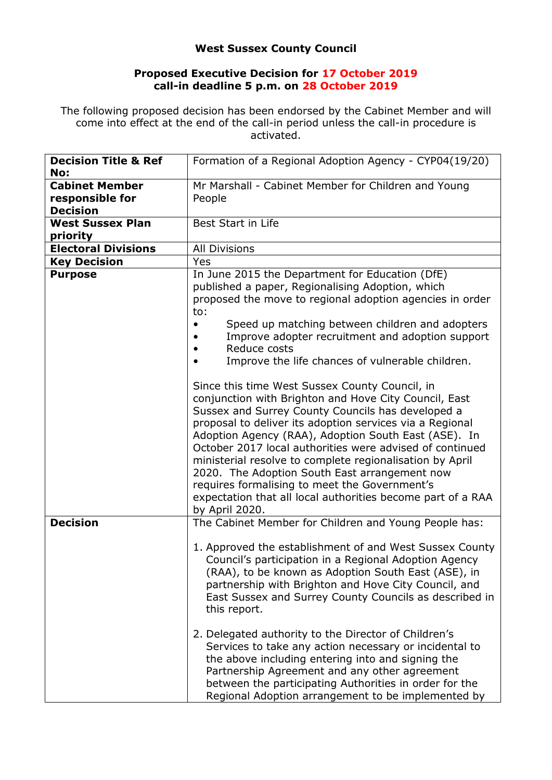## **West Sussex County Council**

## **Proposed Executive Decision for 17 October 2019 call-in deadline 5 p.m. on 28 October 2019**

The following proposed decision has been endorsed by the Cabinet Member and will come into effect at the end of the call-in period unless the call-in procedure is activated.

| <b>Decision Title &amp; Ref</b>     | Formation of a Regional Adoption Agency - CYP04(19/20)                                                                                                                                                                                                                                                                                                                                                                                                                                                                                                                                                                                                                                                                                                                                                         |
|-------------------------------------|----------------------------------------------------------------------------------------------------------------------------------------------------------------------------------------------------------------------------------------------------------------------------------------------------------------------------------------------------------------------------------------------------------------------------------------------------------------------------------------------------------------------------------------------------------------------------------------------------------------------------------------------------------------------------------------------------------------------------------------------------------------------------------------------------------------|
| No:                                 |                                                                                                                                                                                                                                                                                                                                                                                                                                                                                                                                                                                                                                                                                                                                                                                                                |
| <b>Cabinet Member</b>               | Mr Marshall - Cabinet Member for Children and Young                                                                                                                                                                                                                                                                                                                                                                                                                                                                                                                                                                                                                                                                                                                                                            |
| responsible for                     | People                                                                                                                                                                                                                                                                                                                                                                                                                                                                                                                                                                                                                                                                                                                                                                                                         |
| <b>Decision</b>                     |                                                                                                                                                                                                                                                                                                                                                                                                                                                                                                                                                                                                                                                                                                                                                                                                                |
| <b>West Sussex Plan</b><br>priority | Best Start in Life                                                                                                                                                                                                                                                                                                                                                                                                                                                                                                                                                                                                                                                                                                                                                                                             |
| <b>Electoral Divisions</b>          | <b>All Divisions</b>                                                                                                                                                                                                                                                                                                                                                                                                                                                                                                                                                                                                                                                                                                                                                                                           |
| <b>Key Decision</b>                 | Yes                                                                                                                                                                                                                                                                                                                                                                                                                                                                                                                                                                                                                                                                                                                                                                                                            |
| <b>Purpose</b>                      | In June 2015 the Department for Education (DfE)<br>published a paper, Regionalising Adoption, which<br>proposed the move to regional adoption agencies in order<br>to:<br>Speed up matching between children and adopters<br>Improve adopter recruitment and adoption support<br>Reduce costs<br>Improve the life chances of vulnerable children.<br>Since this time West Sussex County Council, in<br>conjunction with Brighton and Hove City Council, East<br>Sussex and Surrey County Councils has developed a<br>proposal to deliver its adoption services via a Regional<br>Adoption Agency (RAA), Adoption South East (ASE). In<br>October 2017 local authorities were advised of continued<br>ministerial resolve to complete regionalisation by April<br>2020. The Adoption South East arrangement now |
|                                     | requires formalising to meet the Government's<br>expectation that all local authorities become part of a RAA<br>by April 2020.                                                                                                                                                                                                                                                                                                                                                                                                                                                                                                                                                                                                                                                                                 |
| <b>Decision</b>                     | The Cabinet Member for Children and Young People has:                                                                                                                                                                                                                                                                                                                                                                                                                                                                                                                                                                                                                                                                                                                                                          |
|                                     | 1. Approved the establishment of and West Sussex County<br>Council's participation in a Regional Adoption Agency<br>(RAA), to be known as Adoption South East (ASE), in<br>partnership with Brighton and Hove City Council, and<br>East Sussex and Surrey County Councils as described in<br>this report.                                                                                                                                                                                                                                                                                                                                                                                                                                                                                                      |
|                                     | 2. Delegated authority to the Director of Children's<br>Services to take any action necessary or incidental to<br>the above including entering into and signing the<br>Partnership Agreement and any other agreement<br>between the participating Authorities in order for the<br>Regional Adoption arrangement to be implemented by                                                                                                                                                                                                                                                                                                                                                                                                                                                                           |